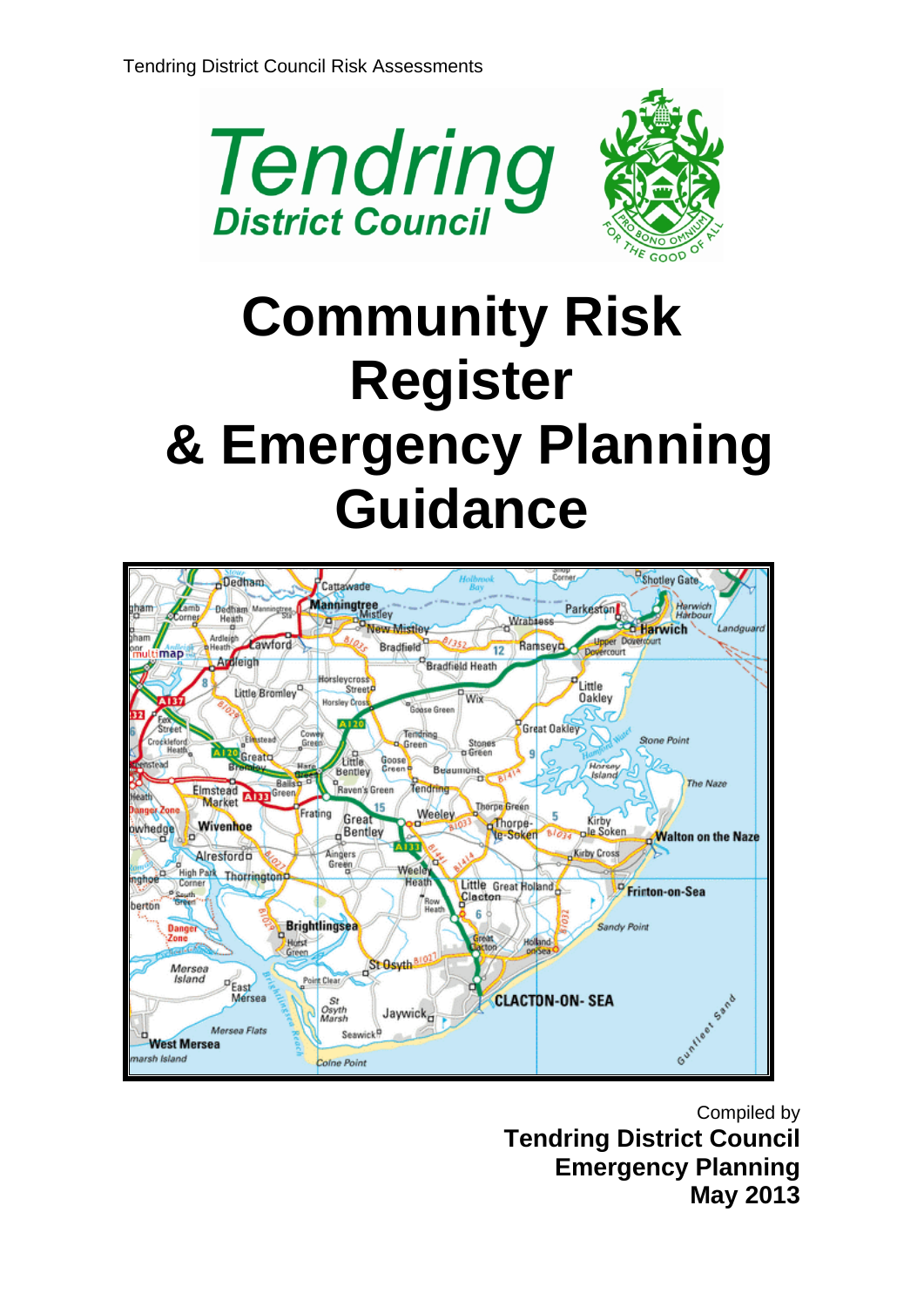

# **Community Risk Register & Emergency Planning Guidance**



Compiled by **Tendring District Council Emergency Planning May 2013**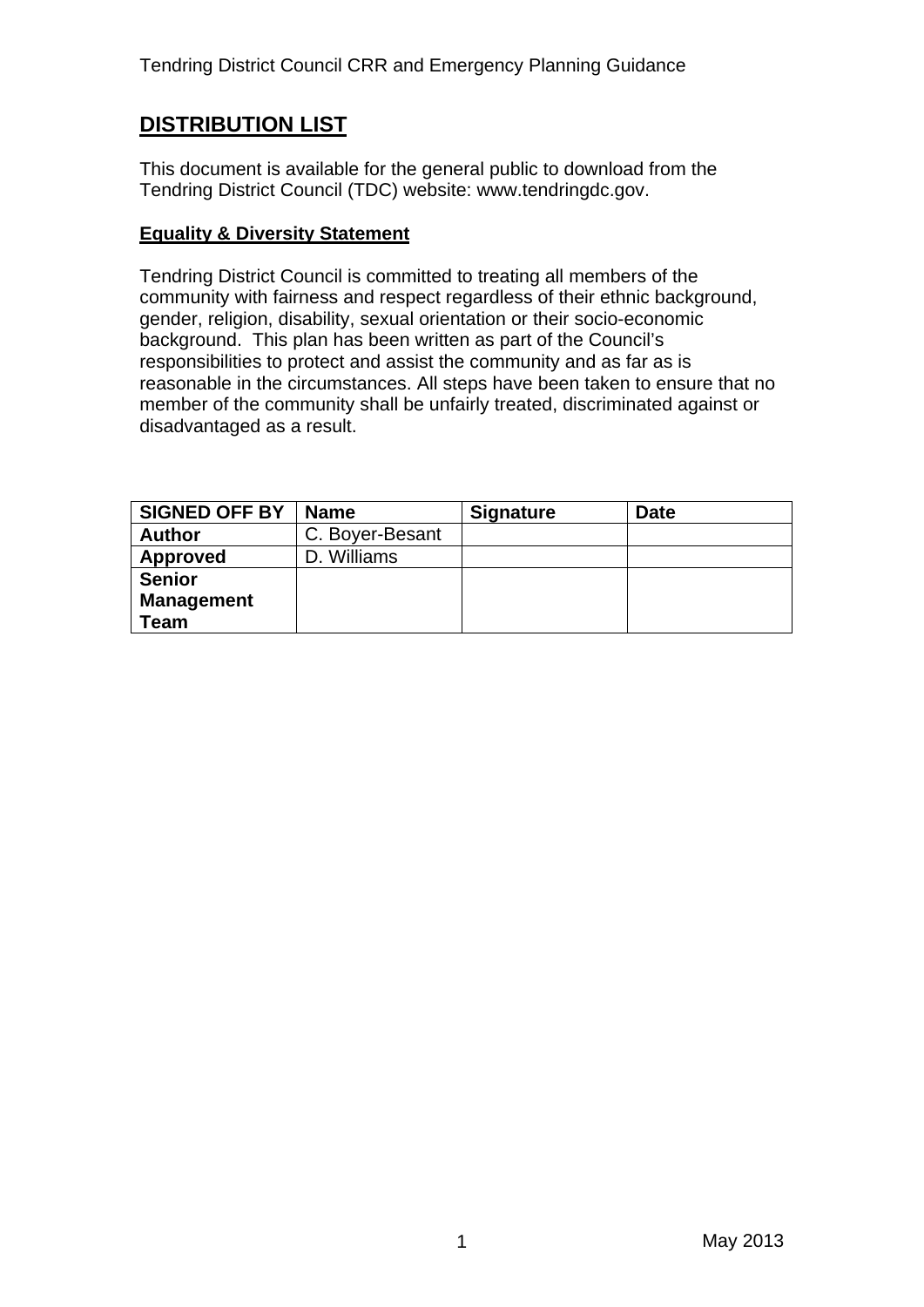Tendring District Council CRR and Emergency Planning Guidance

## **DISTRIBUTION LIST**

This document is available for the general public to download from the Tendring District Council (TDC) website: www.tendringdc.gov.

#### **Equality & Diversity Statement**

Tendring District Council is committed to treating all members of the community with fairness and respect regardless of their ethnic background, gender, religion, disability, sexual orientation or their socio-economic background. This plan has been written as part of the Council's responsibilities to protect and assist the community and as far as is reasonable in the circumstances. All steps have been taken to ensure that no member of the community shall be unfairly treated, discriminated against or disadvantaged as a result.

| <b>SIGNED OFF BY</b> | <b>Name</b>     | <b>Signature</b> | <b>Date</b> |
|----------------------|-----------------|------------------|-------------|
| <b>Author</b>        | C. Boyer-Besant |                  |             |
| Approved             | . Williams      |                  |             |
| <b>Senior</b>        |                 |                  |             |
| <b>Management</b>    |                 |                  |             |
| Team                 |                 |                  |             |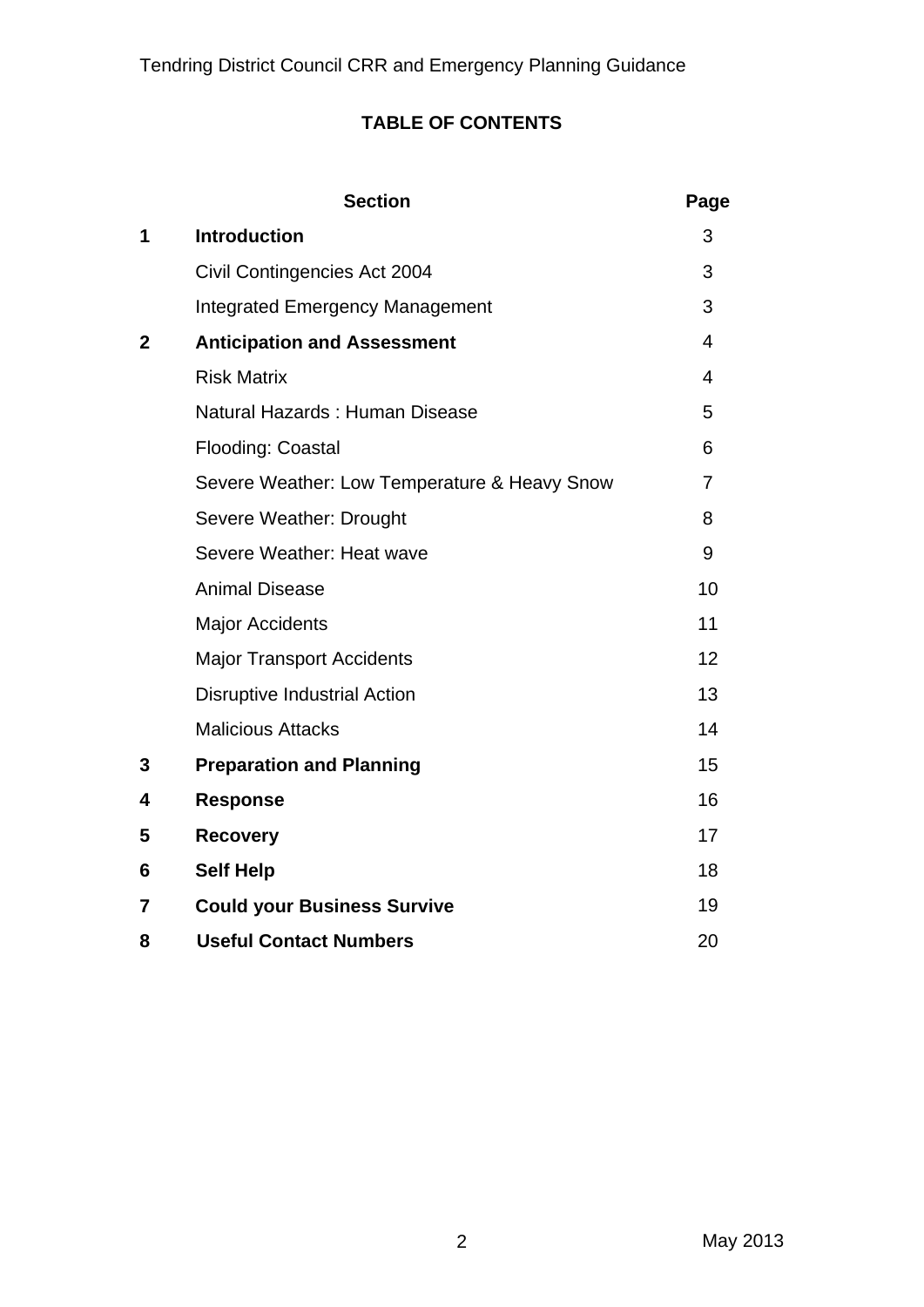## **TABLE OF CONTENTS**

|              | <b>Section</b>                               | Page                    |
|--------------|----------------------------------------------|-------------------------|
| 1            | <b>Introduction</b>                          | 3                       |
|              | Civil Contingencies Act 2004                 | 3                       |
|              | <b>Integrated Emergency Management</b>       | 3                       |
| $\mathbf{2}$ | <b>Anticipation and Assessment</b>           | $\overline{\mathbf{4}}$ |
|              | <b>Risk Matrix</b>                           | 4                       |
|              | Natural Hazards: Human Disease               | 5                       |
|              | Flooding: Coastal                            | 6                       |
|              | Severe Weather: Low Temperature & Heavy Snow | $\overline{7}$          |
|              | Severe Weather: Drought                      | 8                       |
|              | Severe Weather: Heat wave                    | 9                       |
|              | <b>Animal Disease</b>                        | 10                      |
|              | <b>Major Accidents</b>                       | 11                      |
|              | <b>Major Transport Accidents</b>             | 12                      |
|              | <b>Disruptive Industrial Action</b>          | 13                      |
|              | <b>Malicious Attacks</b>                     | 14                      |
| 3            | <b>Preparation and Planning</b>              | 15                      |
| 4            | <b>Response</b>                              | 16                      |
| 5            | <b>Recovery</b>                              | 17                      |
| 6            | <b>Self Help</b>                             | 18                      |
| 7            | <b>Could your Business Survive</b>           | 19                      |
| 8            | <b>Useful Contact Numbers</b>                | 20                      |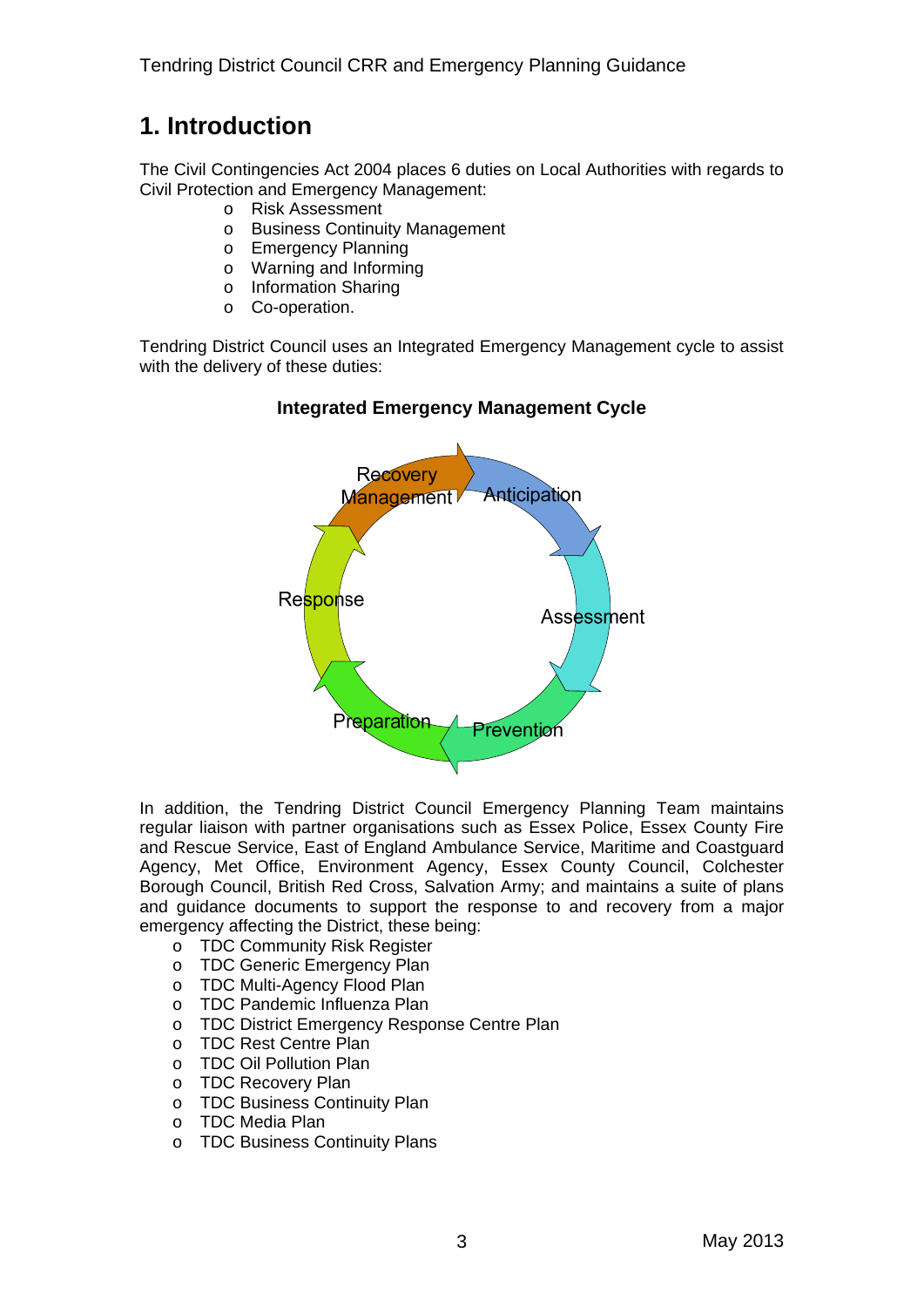## **1. Introduction**

The Civil Contingencies Act 2004 places 6 duties on Local Authorities with regards to Civil Protection and Emergency Management:

- o Risk Assessment
- o Business Continuity Management
- o Emergency Planning
- o Warning and Informing
- o Information Sharing
- o Co-operation.

Tendring District Council uses an Integrated Emergency Management cycle to assist with the delivery of these duties:

## Recovery Anticipation **Management** Response Assessment Preparation revention

#### **Integrated Emergency Management Cycle**

In addition, the Tendring District Council Emergency Planning Team maintains regular liaison with partner organisations such as Essex Police, Essex County Fire and Rescue Service, East of England Ambulance Service, Maritime and Coastguard Agency, Met Office, Environment Agency, Essex County Council, Colchester Borough Council, British Red Cross, Salvation Army; and maintains a suite of plans and guidance documents to support the response to and recovery from a major emergency affecting the District, these being:

- o TDC Community Risk Register
- o TDC Generic Emergency Plan
- o TDC Multi-Agency Flood Plan
- o TDC Pandemic Influenza Plan
- o TDC District Emergency Response Centre Plan
- o TDC Rest Centre Plan
- o TDC Oil Pollution Plan
- o TDC Recovery Plan
- o TDC Business Continuity Plan
- o TDC Media Plan
- o TDC Business Continuity Plans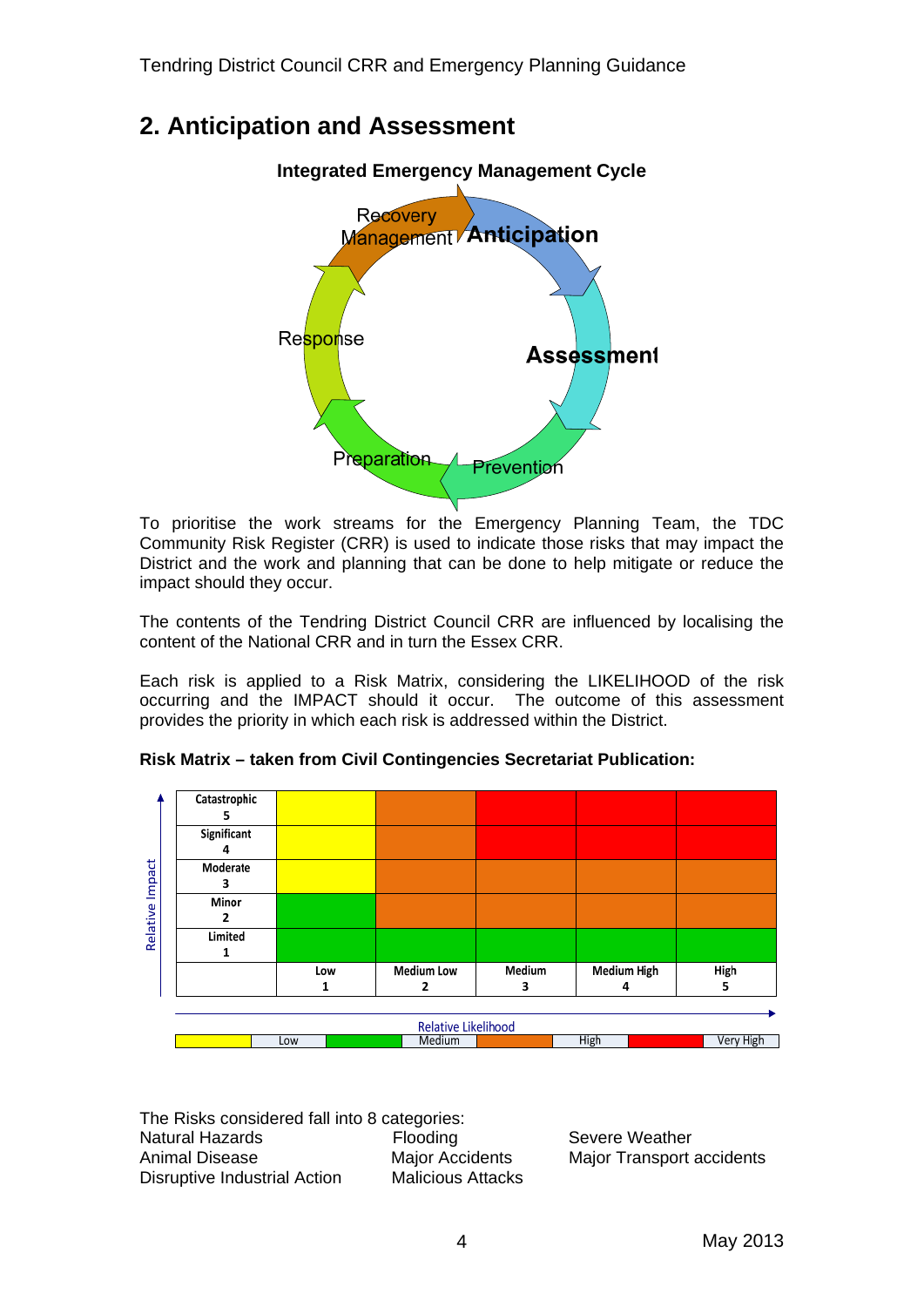## **2. Anticipation and Assessment**



To prioritise the work streams for the Emergency Planning Team, the TDC Community Risk Register (CRR) is used to indicate those risks that may impact the District and the work and planning that can be done to help mitigate or reduce the impact should they occur.

The contents of the Tendring District Council CRR are influenced by localising the content of the National CRR and in turn the Essex CRR.

Each risk is applied to a Risk Matrix, considering the LIKELIHOOD of the risk occurring and the IMPACT should it occur. The outcome of this assessment provides the priority in which each risk is addressed within the District.



**Risk Matrix – taken from Civil Contingencies Secretariat Publication:** 

The Risks considered fall into 8 categories: Natural Hazards **Flooding** Severe Weather Animal Disease Major Accidents Major Transport accidents Disruptive Industrial Action Malicious Attacks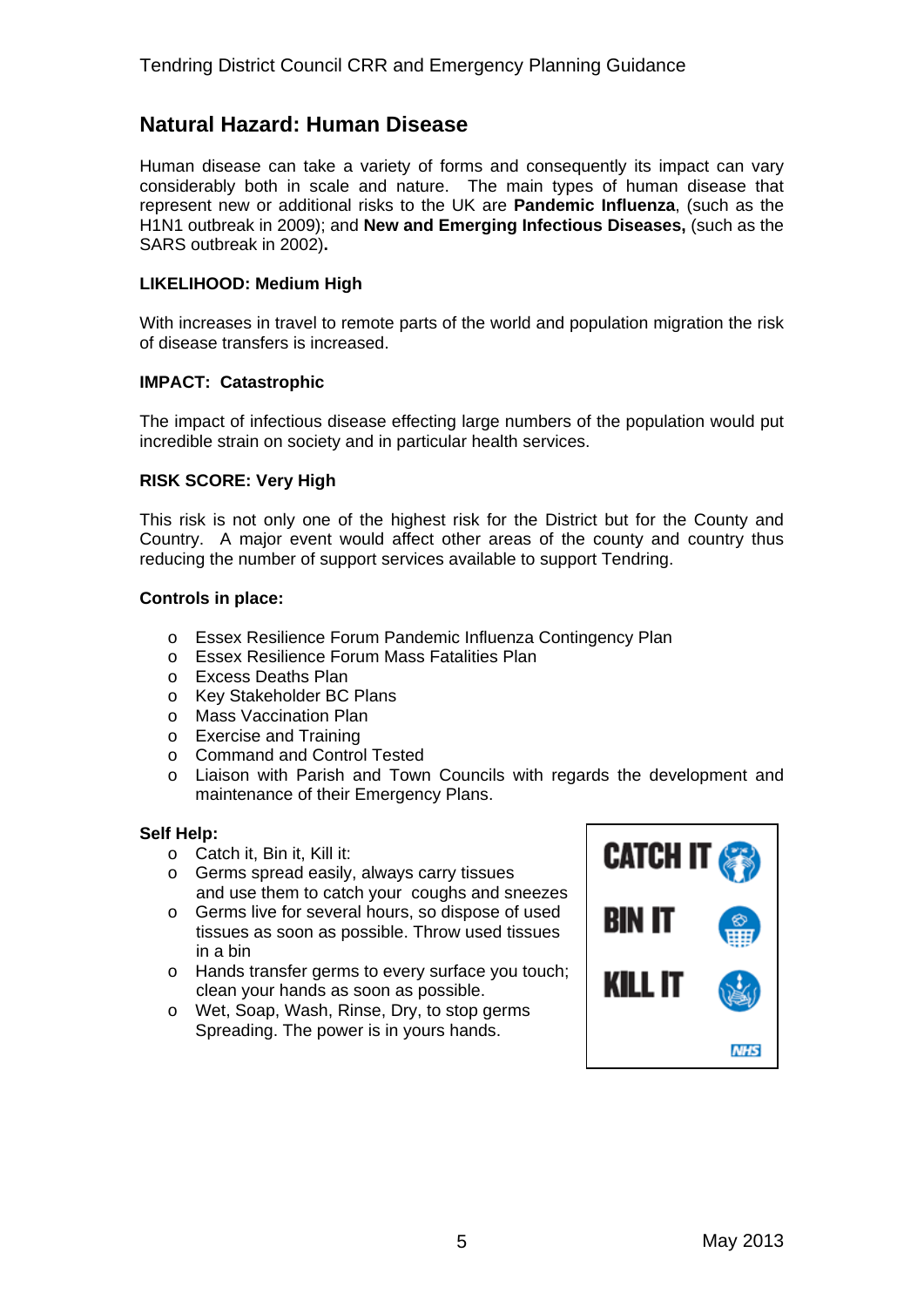## **Natural Hazard: Human Disease**

Human disease can take a variety of forms and consequently its impact can vary considerably both in scale and nature. The main types of human disease that represent new or additional risks to the UK are **Pandemic Influenza**, (such as the H1N1 outbreak in 2009); and **New and Emerging Infectious Diseases,** (such as the SARS outbreak in 2002)**.**

#### **LIKELIHOOD: Medium High**

With increases in travel to remote parts of the world and population migration the risk of disease transfers is increased.

#### **IMPACT: Catastrophic**

The impact of infectious disease effecting large numbers of the population would put incredible strain on society and in particular health services.

#### **RISK SCORE: Very High**

This risk is not only one of the highest risk for the District but for the County and Country. A major event would affect other areas of the county and country thus reducing the number of support services available to support Tendring.

#### **Controls in place:**

- o Essex Resilience Forum Pandemic Influenza Contingency Plan
- o Essex Resilience Forum Mass Fatalities Plan
- o Excess Deaths Plan
- o Key Stakeholder BC Plans
- o Mass Vaccination Plan
- o Exercise and Training
- o Command and Control Tested
- o Liaison with Parish and Town Councils with regards the development and maintenance of their Emergency Plans.

- o Catch it, Bin it, Kill it:
- o Germs spread easily, always carry tissues and use them to catch your coughs and sneezes
- o Germs live for several hours, so dispose of used tissues as soon as possible. Throw used tissues in a bin
- o Hands transfer germs to every surface you touch; clean your hands as soon as possible.
- o Wet, Soap, Wash, Rinse, Dry, to stop germs Spreading. The power is in yours hands.

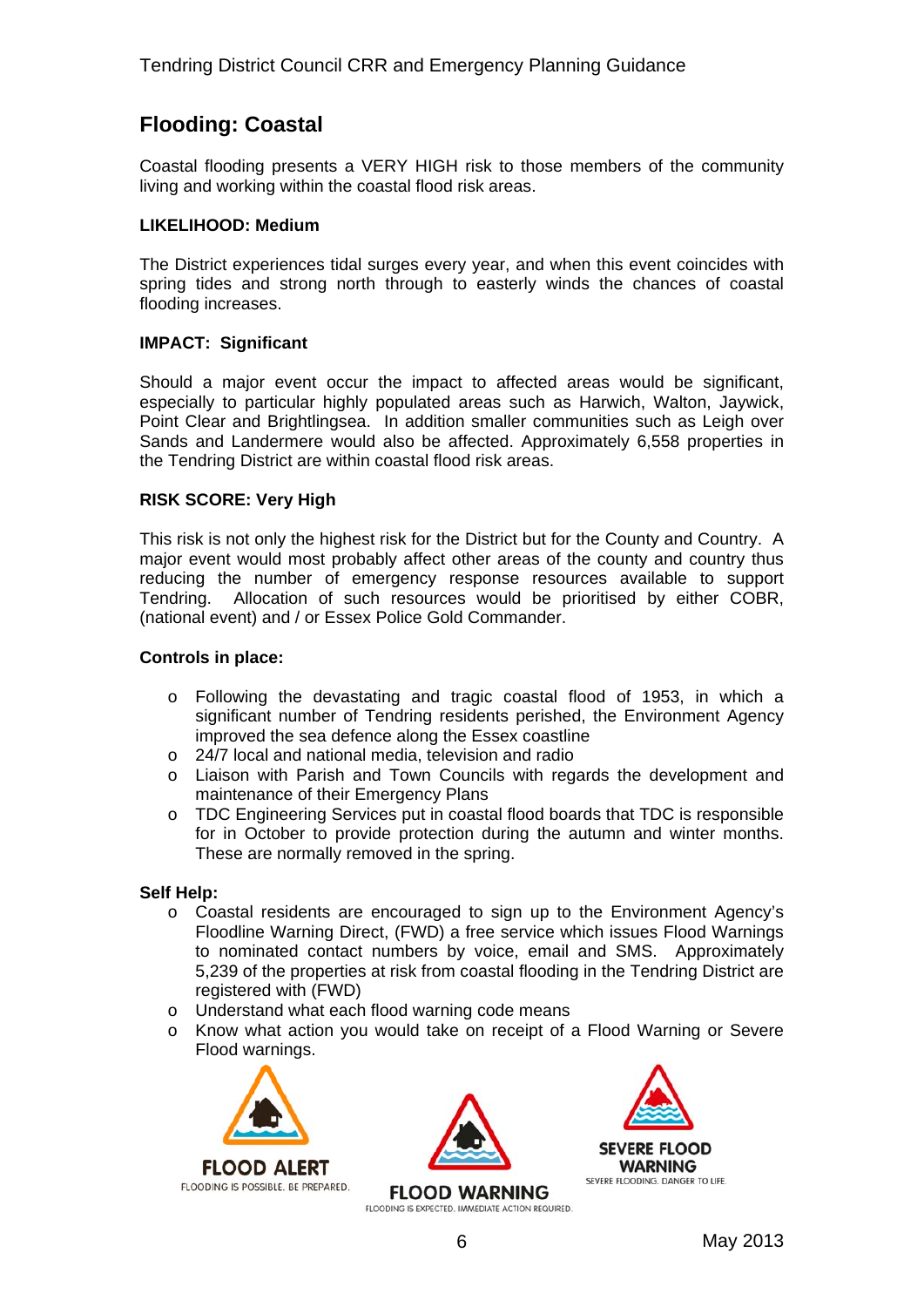## **Flooding: Coastal**

Coastal flooding presents a VERY HIGH risk to those members of the community living and working within the coastal flood risk areas.

#### **LIKELIHOOD: Medium**

The District experiences tidal surges every year, and when this event coincides with spring tides and strong north through to easterly winds the chances of coastal flooding increases.

#### **IMPACT: Significant**

Should a major event occur the impact to affected areas would be significant, especially to particular highly populated areas such as Harwich, Walton, Jaywick, Point Clear and Brightlingsea. In addition smaller communities such as Leigh over Sands and Landermere would also be affected. Approximately 6,558 properties in the Tendring District are within coastal flood risk areas.

#### **RISK SCORE: Very High**

This risk is not only the highest risk for the District but for the County and Country. A major event would most probably affect other areas of the county and country thus reducing the number of emergency response resources available to support Tendring. Allocation of such resources would be prioritised by either COBR, (national event) and / or Essex Police Gold Commander.

#### **Controls in place:**

- o Following the devastating and tragic coastal flood of 1953, in which a significant number of Tendring residents perished, the Environment Agency improved the sea defence along the Essex coastline
- o 24/7 local and national media, television and radio
- o Liaison with Parish and Town Councils with regards the development and maintenance of their Emergency Plans
- o TDC Engineering Services put in coastal flood boards that TDC is responsible for in October to provide protection during the autumn and winter months. These are normally removed in the spring.

- o Coastal residents are encouraged to sign up to the Environment Agency's Floodline Warning Direct, (FWD) a free service which issues Flood Warnings to nominated contact numbers by voice, email and SMS. Approximately 5,239 of the properties at risk from coastal flooding in the Tendring District are registered with (FWD)
- o Understand what each flood warning code means
- o Know what action you would take on receipt of a Flood Warning or Severe Flood warnings.





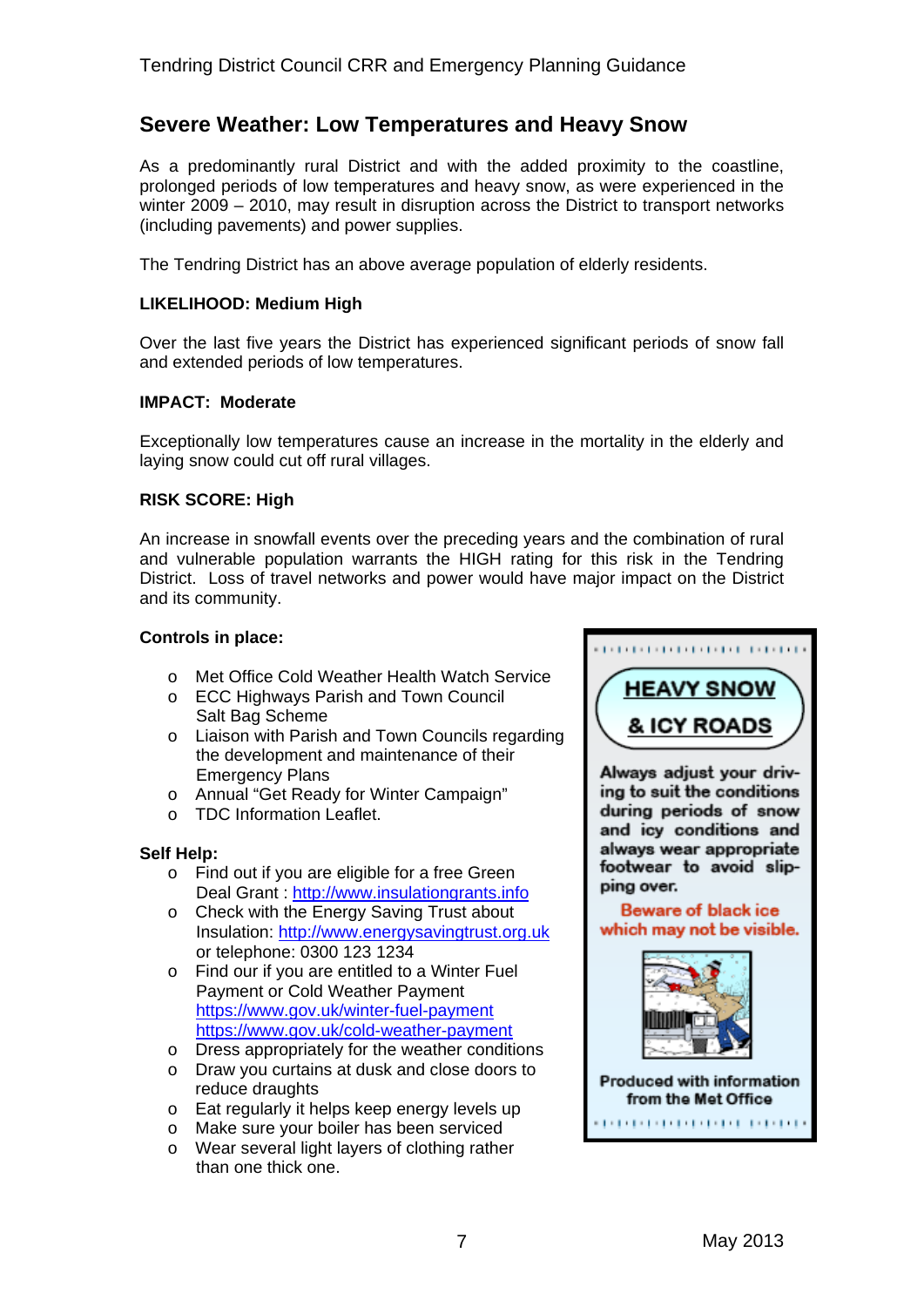## **Severe Weather: Low Temperatures and Heavy Snow**

As a predominantly rural District and with the added proximity to the coastline, prolonged periods of low temperatures and heavy snow, as were experienced in the winter 2009 – 2010, may result in disruption across the District to transport networks (including pavements) and power supplies.

The Tendring District has an above average population of elderly residents.

#### **LIKELIHOOD: Medium High**

Over the last five years the District has experienced significant periods of snow fall and extended periods of low temperatures.

#### **IMPACT: Moderate**

Exceptionally low temperatures cause an increase in the mortality in the elderly and laying snow could cut off rural villages.

#### **RISK SCORE: High**

An increase in snowfall events over the preceding years and the combination of rural and vulnerable population warrants the HIGH rating for this risk in the Tendring District. Loss of travel networks and power would have major impact on the District and its community.

#### **Controls in place:**

- o Met Office Cold Weather Health Watch Service
- o ECC Highways Parish and Town Council Salt Bag Scheme
- o Liaison with Parish and Town Councils regarding the development and maintenance of their Emergency Plans
- o Annual "Get Ready for Winter Campaign"
- o TDC Information Leaflet.

- o Find out if you are eligible for a free Green Deal Grant : [http://www.insulationgrants.info](http://www.insulationgrants.info/)
- o Check with the Energy Saving Trust about Insulation: [http://www.energysavingtrust.org.uk](http://www.energysavingtrust.org.uk/) or telephone: 0300 123 1234
- o Find our if you are entitled to a Winter Fuel Payment or Cold Weather Payment <https://www.gov.uk/winter-fuel-payment> <https://www.gov.uk/cold-weather-payment>
- o Dress appropriately for the weather conditions
- o Draw you curtains at dusk and close doors to reduce draughts
- o Eat regularly it helps keep energy levels up
- o Make sure your boiler has been serviced
- o Wear several light layers of clothing rather than one thick one.

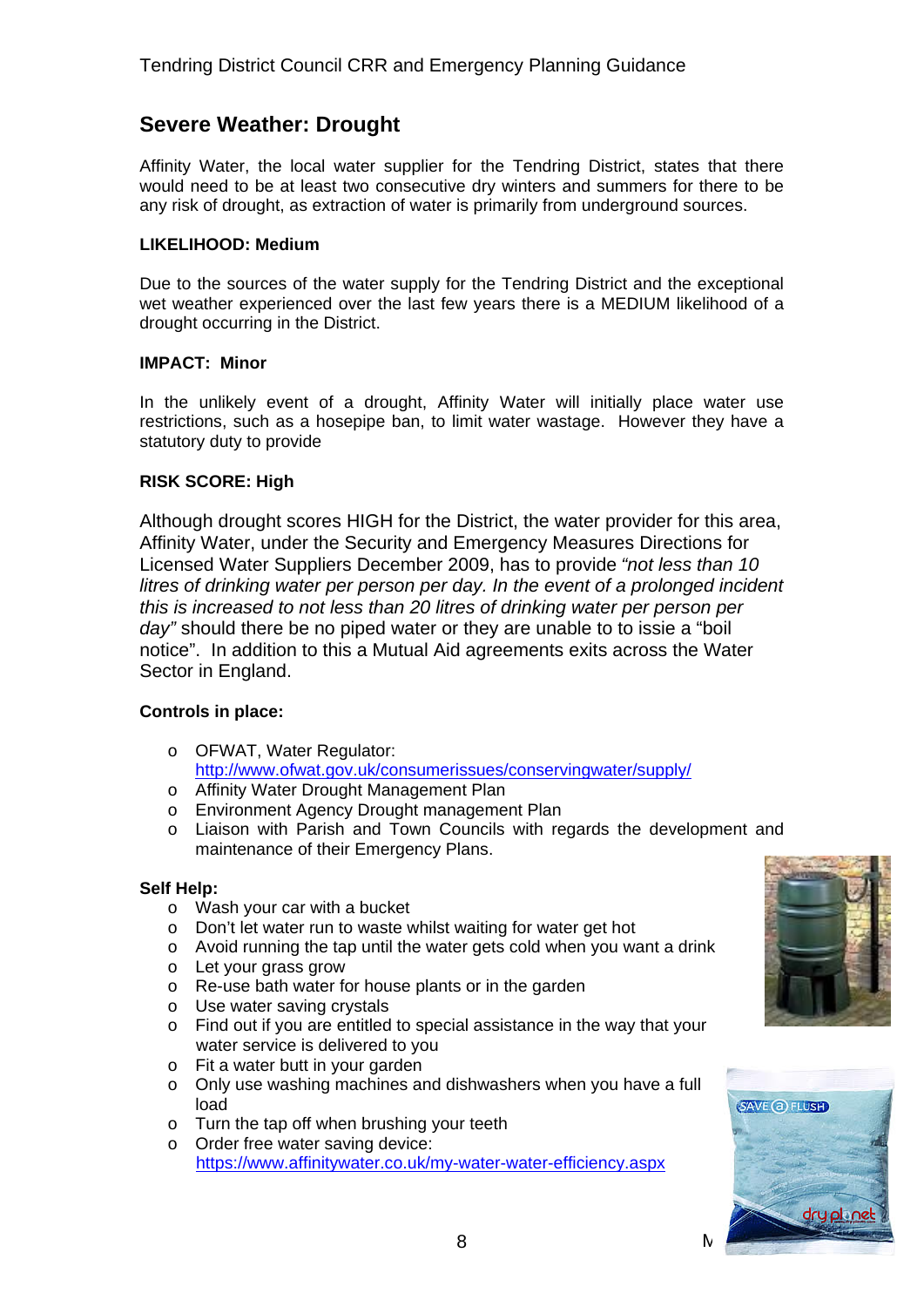## **Severe Weather: Drought**

Affinity Water, the local water supplier for the Tendring District, states that there would need to be at least two consecutive dry winters and summers for there to be any risk of drought, as extraction of water is primarily from underground sources.

#### **LIKELIHOOD: Medium**

Due to the sources of the water supply for the Tendring District and the exceptional wet weather experienced over the last few years there is a MEDIUM likelihood of a drought occurring in the District.

#### **IMPACT: Minor**

In the unlikely event of a drought, Affinity Water will initially place water use restrictions, such as a hosepipe ban, to limit water wastage. However they have a statutory duty to provide

#### **RISK SCORE: High**

Although drought scores HIGH for the District, the water provider for this area, Affinity Water, under the Security and Emergency Measures Directions for Licensed Water Suppliers December 2009, has to provide *"not less than 10 litres of drinking water per person per day. In the event of a prolonged incident this is increased to not less than 20 litres of drinking water per person per day"* should there be no piped water or they are unable to to issie a "boil notice". In addition to this a Mutual Aid agreements exits across the Water Sector in England.

#### **Controls in place:**

- o OFWAT, Water Regulator: <http://www.ofwat.gov.uk/consumerissues/conservingwater/supply/>
- o Affinity Water Drought Management Plan
- o Environment Agency Drought management Plan
- o Liaison with Parish and Town Councils with regards the development and maintenance of their Emergency Plans.

- o Wash your car with a bucket
- o Don't let water run to waste whilst waiting for water get hot
- o Avoid running the tap until the water gets cold when you want a drink
- o Let your grass grow
- o Re-use bath water for house plants or in the garden
- o Use water saving crystals
- o Find out if you are entitled to special assistance in the way that your water service is delivered to you
- o Fit a water butt in your garden
- o Only use washing machines and dishwashers when you have a full load
- o Turn the tap off when brushing your teeth
- o Order free water saving device: <https://www.affinitywater.co.uk/my-water-water-efficiency.aspx>



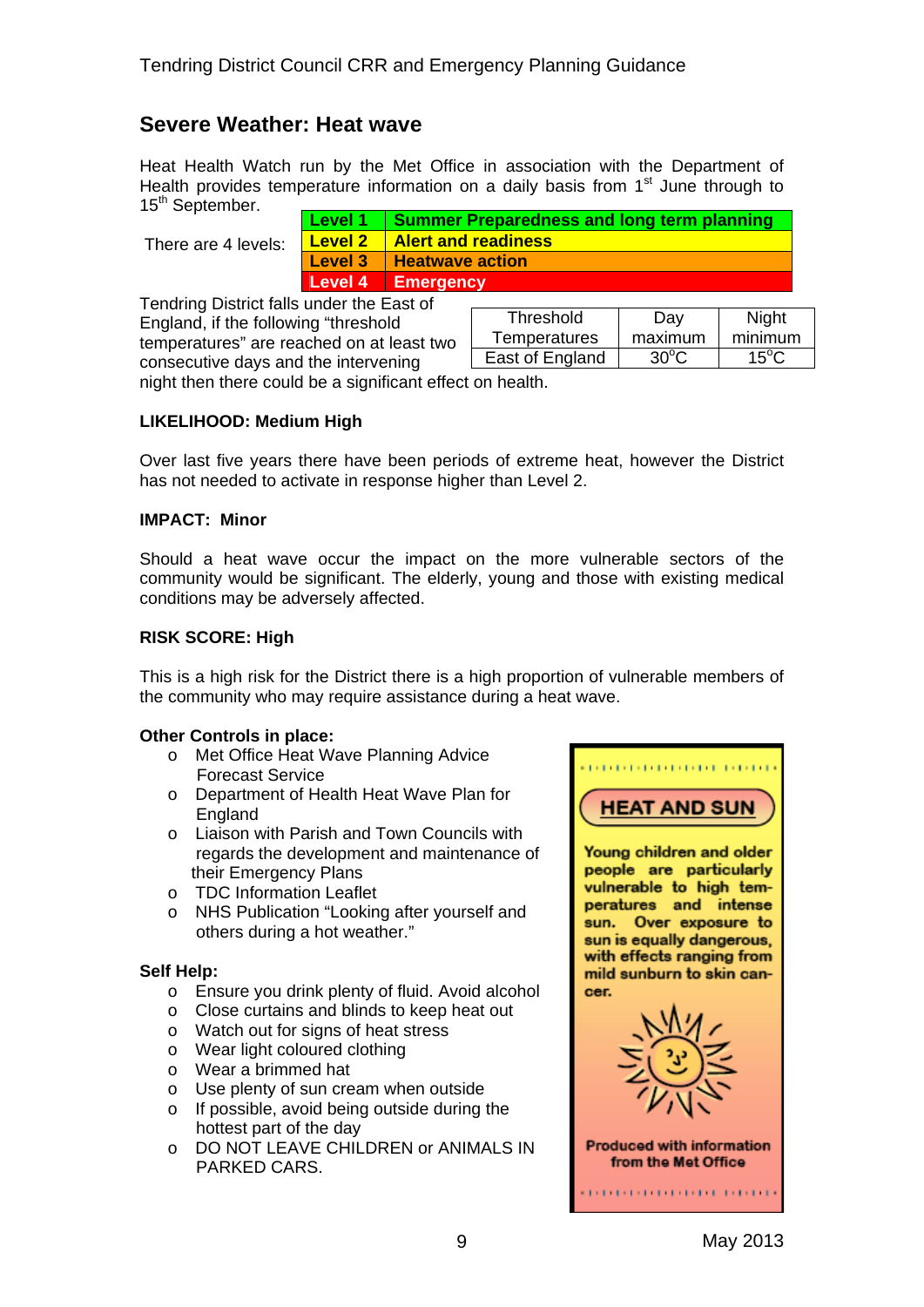## **Severe Weather: Heat wave**

Heat Health Watch run by the Met Office in association with the Department of Health provides temperature information on a daily basis from  $1<sup>st</sup>$  June through to 15<sup>th</sup> September.

There are 4 levels:

| Level 1        | <b>Summer Preparedness and long term planning</b> |
|----------------|---------------------------------------------------|
| <b>Level 2</b> | <b>Alert and readiness</b>                        |
| Level 3        | <b>Heatwave action</b>                            |
| Level 4        | Emergency                                         |

Tendring District falls under the East of England, if the following "threshold temperatures" are reached on at least two consecutive days and the intervening

| Threshold           | סa∨     | <b>Night</b>     |
|---------------------|---------|------------------|
| <b>Temperatures</b> | maximum | minimum          |
| East of England     | ദ്ധം    | 15 $^{\circ}$ C. |
|                     |         |                  |

night then there could be a significant effect on health.

#### **LIKELIHOOD: Medium High**

Over last five years there have been periods of extreme heat, however the District has not needed to activate in response higher than Level 2.

#### **IMPACT: Minor**

Should a heat wave occur the impact on the more vulnerable sectors of the community would be significant. The elderly, young and those with existing medical conditions may be adversely affected.

#### **RISK SCORE: High**

This is a high risk for the District there is a high proportion of vulnerable members of the community who may require assistance during a heat wave.

#### **Other Controls in place:**

- o Met Office Heat Wave Planning Advice Forecast Service
- o Department of Health Heat Wave Plan for England
- o Liaison with Parish and Town Councils with regards the development and maintenance of their Emergency Plans
- o TDC Information Leaflet
- o NHS Publication "Looking after yourself and others during a hot weather."

- o Ensure you drink plenty of fluid. Avoid alcohol
- o Close curtains and blinds to keep heat out
- o Watch out for signs of heat stress
- o Wear light coloured clothing
- o Wear a brimmed hat
- o Use plenty of sun cream when outside
- o If possible, avoid being outside during the hottest part of the day
- o DO NOT LEAVE CHILDREN or ANIMALS IN PARKED CARS.

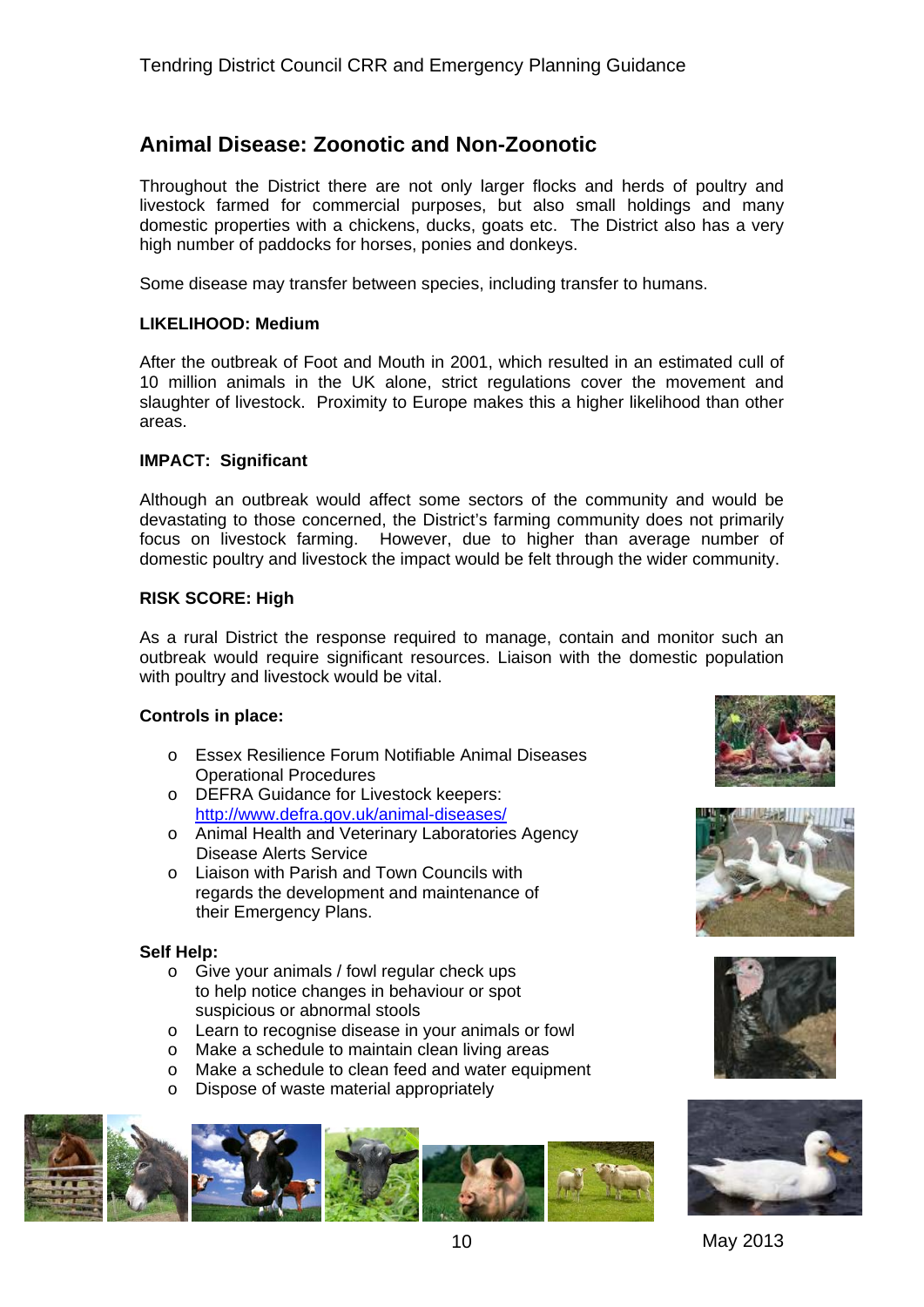## **Animal Disease: Zoonotic and Non-Zoonotic**

Throughout the District there are not only larger flocks and herds of poultry and livestock farmed for commercial purposes, but also small holdings and many domestic properties with a chickens, ducks, goats etc. The District also has a very high number of paddocks for horses, ponies and donkeys.

Some disease may transfer between species, including transfer to humans.

#### **LIKELIHOOD: Medium**

After the outbreak of Foot and Mouth in 2001, which resulted in an estimated cull of 10 million animals in the UK alone, strict regulations cover the movement and slaughter of livestock. Proximity to Europe makes this a higher likelihood than other areas.

#### **IMPACT: Significant**

Although an outbreak would affect some sectors of the community and would be devastating to those concerned, the District's farming community does not primarily focus on livestock farming. However, due to higher than average number of domestic poultry and livestock the impact would be felt through the wider community.

#### **RISK SCORE: High**

As a rural District the response required to manage, contain and monitor such an outbreak would require significant resources. Liaison with the domestic population with poultry and livestock would be vital.

#### **Controls in place:**

- o Essex Resilience Forum Notifiable Animal Diseases Operational Procedures
- o DEFRA Guidance for Livestock keepers: <http://www.defra.gov.uk/animal-diseases/>
- o Animal Health and Veterinary Laboratories Agency Disease Alerts Service
- o Liaison with Parish and Town Councils with regards the development and maintenance of their Emergency Plans.

- o Give your animals / fowl regular check ups to help notice changes in behaviour or spot suspicious or abnormal stools
- o Learn to recognise disease in your animals or fowl
- o Make a schedule to maintain clean living areas
- o Make a schedule to clean feed and water equipment
- o Dispose of waste material appropriately











10 May 2013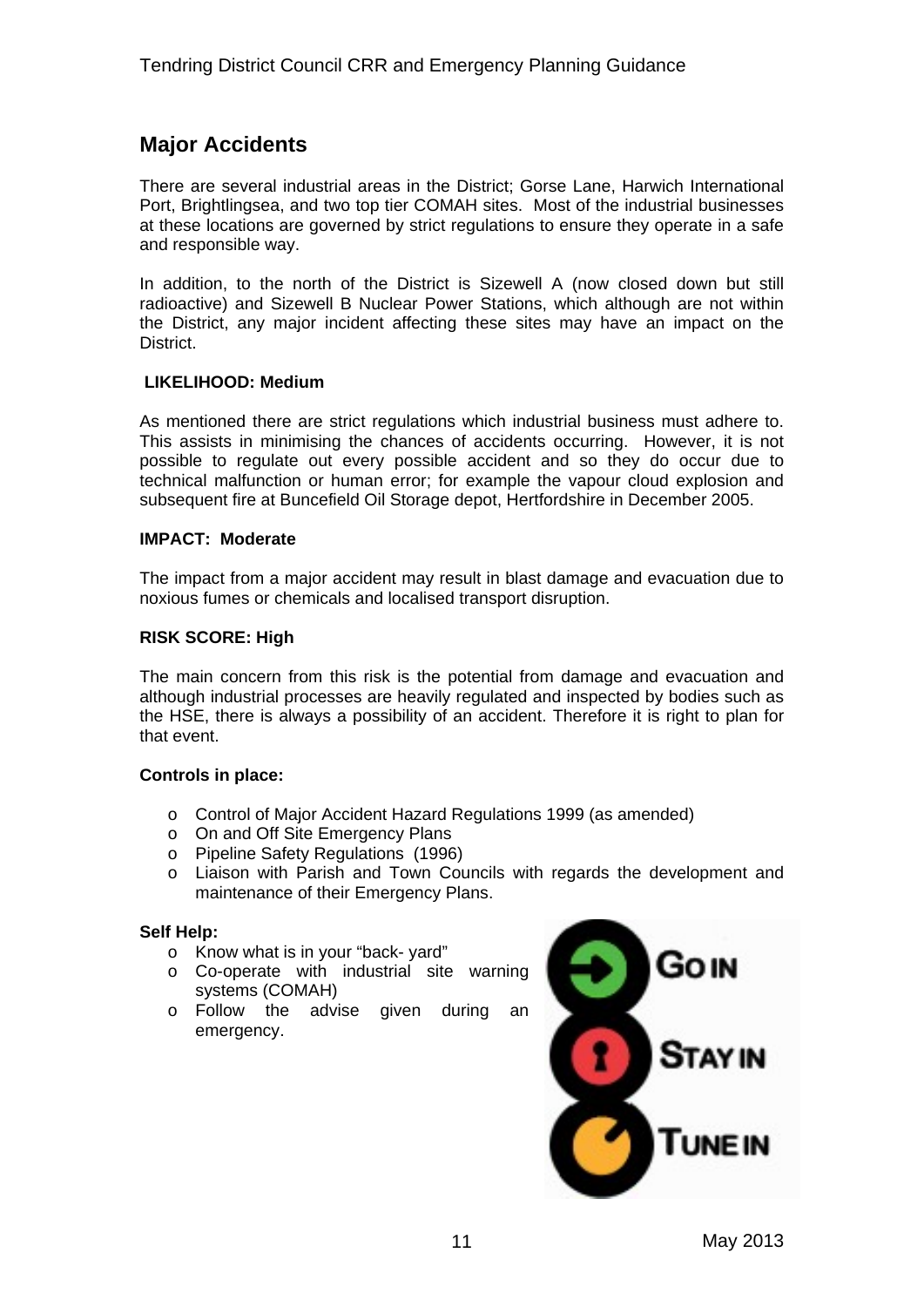## **Major Accidents**

There are several industrial areas in the District; Gorse Lane, Harwich International Port, Brightlingsea, and two top tier COMAH sites. Most of the industrial businesses at these locations are governed by strict regulations to ensure they operate in a safe and responsible way.

In addition, to the north of the District is Sizewell A (now closed down but still radioactive) and Sizewell B Nuclear Power Stations, which although are not within the District, any major incident affecting these sites may have an impact on the District.

#### **LIKELIHOOD: Medium**

As mentioned there are strict regulations which industrial business must adhere to. This assists in minimising the chances of accidents occurring. However, it is not possible to regulate out every possible accident and so they do occur due to technical malfunction or human error; for example the vapour cloud explosion and subsequent fire at Buncefield Oil Storage depot, Hertfordshire in December 2005.

#### **IMPACT: Moderate**

The impact from a major accident may result in blast damage and evacuation due to noxious fumes or chemicals and localised transport disruption.

#### **RISK SCORE: High**

The main concern from this risk is the potential from damage and evacuation and although industrial processes are heavily regulated and inspected by bodies such as the HSE, there is always a possibility of an accident. Therefore it is right to plan for that event.

#### **Controls in place:**

- o Control of Major Accident Hazard Regulations 1999 (as amended)
- o On and Off Site Emergency Plans
- o Pipeline Safety Regulations (1996)
- o Liaison with Parish and Town Councils with regards the development and maintenance of their Emergency Plans.

- o Know what is in your "back- yard"
- o Co-operate with industrial site warning systems (COMAH)
- o Follow the advise given during an emergency.

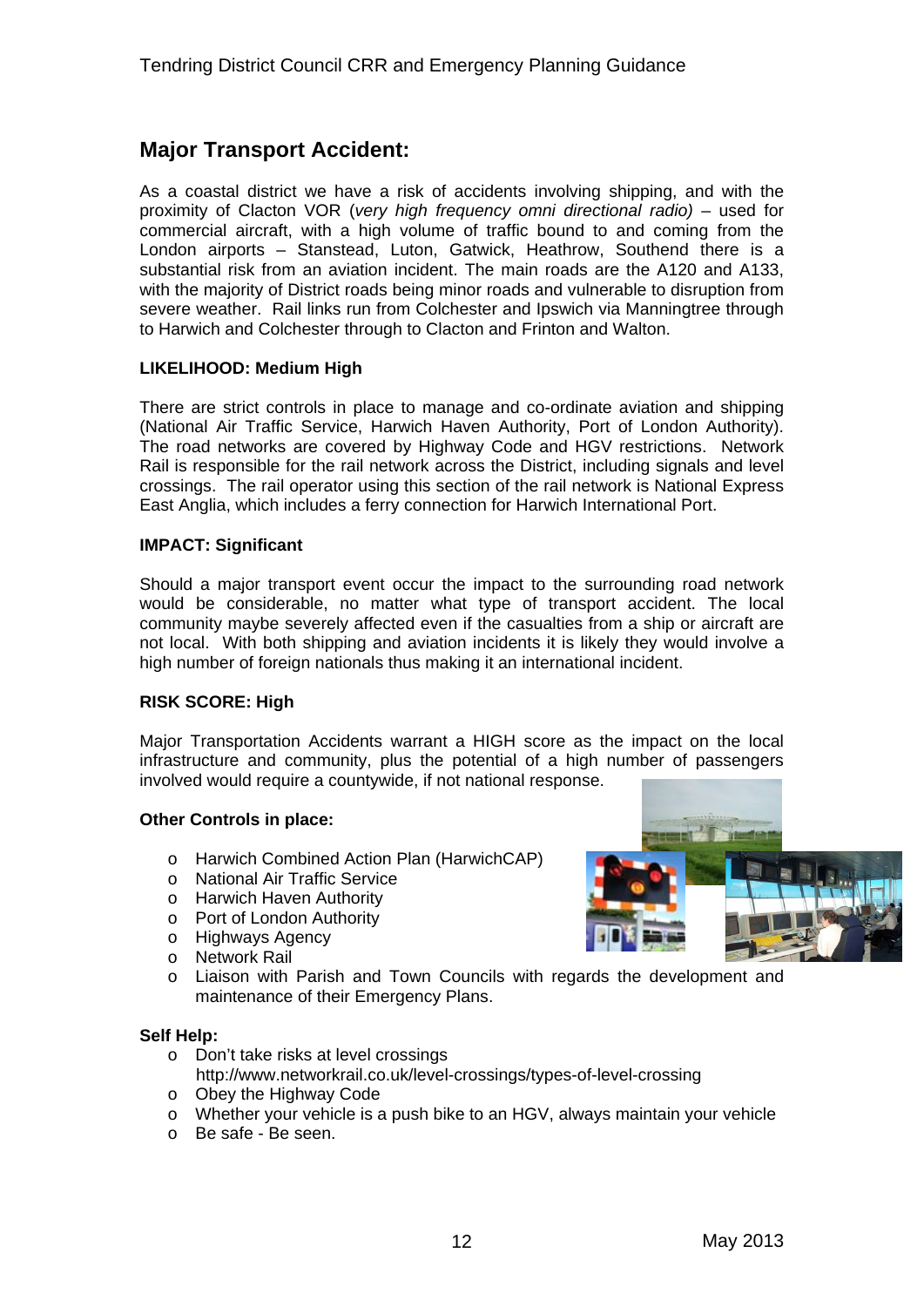## **Major Transport Accident:**

As a coastal district we have a risk of accidents involving shipping, and with the proximity of Clacton VOR (*very high frequency omni directional radio)* – used for commercial aircraft, with a high volume of traffic bound to and coming from the London airports – Stanstead, Luton, Gatwick, Heathrow, Southend there is a substantial risk from an aviation incident. The main roads are the A120 and A133, with the majority of District roads being minor roads and vulnerable to disruption from severe weather. Rail links run from Colchester and Ipswich via Manningtree through to Harwich and Colchester through to Clacton and Frinton and Walton.

#### **LIKELIHOOD: Medium High**

There are strict controls in place to manage and co-ordinate aviation and shipping (National Air Traffic Service, Harwich Haven Authority, Port of London Authority). The road networks are covered by Highway Code and HGV restrictions. Network Rail is responsible for the rail network across the District, including signals and level crossings. The rail operator using this section of the rail network is National Express East Anglia, which includes a ferry connection for Harwich International Port.

#### **IMPACT: Significant**

Should a major transport event occur the impact to the surrounding road network would be considerable, no matter what type of transport accident. The local community maybe severely affected even if the casualties from a ship or aircraft are not local. With both shipping and aviation incidents it is likely they would involve a high number of foreign nationals thus making it an international incident.

#### **RISK SCORE: High**

Major Transportation Accidents warrant a HIGH score as the impact on the local infrastructure and community, plus the potential of a high number of passengers involved would require a countywide, if not national response.

#### **Other Controls in place:**

- o Harwich Combined Action Plan (HarwichCAP)
- o National Air Traffic Service
- o Harwich Haven Authority
- o Port of London Authority
- o Highways Agency
- o Network Rail
- o Liaison with Parish and Town Councils with regards the development and maintenance of their Emergency Plans.

- o Don't take risks at level crossings
- http://www.networkrail.co.uk/level-crossings/types-of-level-crossing o Obey the Highway Code
- o Whether your vehicle is a push bike to an HGV, always maintain your vehicle
- o Be safe Be seen.

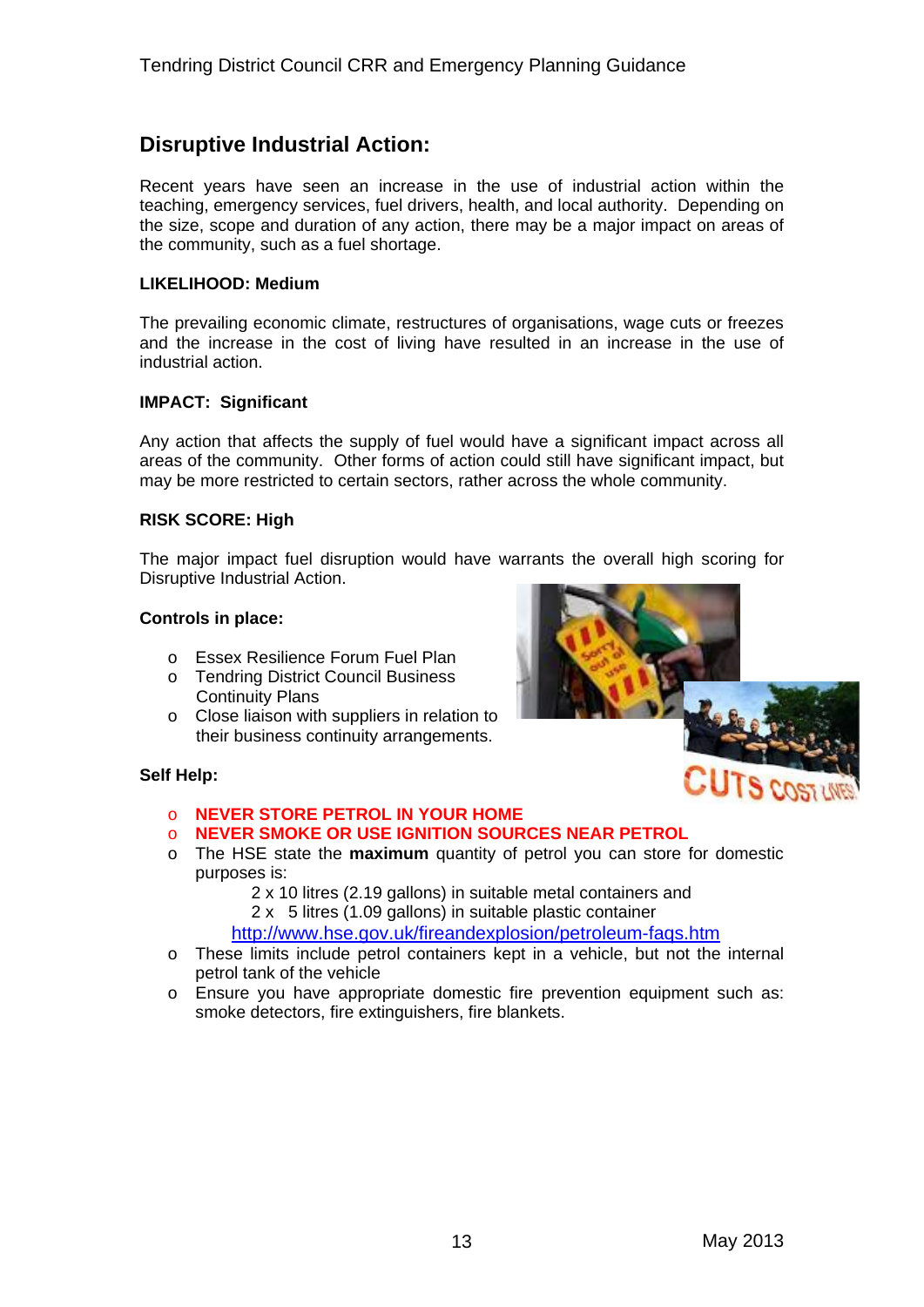## **Disruptive Industrial Action:**

Recent years have seen an increase in the use of industrial action within the teaching, emergency services, fuel drivers, health, and local authority. Depending on the size, scope and duration of any action, there may be a major impact on areas of the community, such as a fuel shortage.

#### **LIKELIHOOD: Medium**

The prevailing economic climate, restructures of organisations, wage cuts or freezes and the increase in the cost of living have resulted in an increase in the use of industrial action.

#### **IMPACT: Significant**

Any action that affects the supply of fuel would have a significant impact across all areas of the community. Other forms of action could still have significant impact, but may be more restricted to certain sectors, rather across the whole community.

#### **RISK SCORE: High**

The major impact fuel disruption would have warrants the overall high scoring for Disruptive Industrial Action.

#### **Controls in place:**

- o Essex Resilience Forum Fuel Plan
- o Tendring District Council Business Continuity Plans
- o Close liaison with suppliers in relation to their business continuity arrangements.



- o **NEVER SMOKE OR USE IGNITION SOURCES NEAR PETROL**
- o The HSE state the **maximum** quantity of petrol you can store for domestic purposes is:
	- 2 x 10 litres (2.19 gallons) in suitable metal containers and
	- 2 x 5 litres (1.09 gallons) in suitable plastic container
	- <http://www.hse.gov.uk/fireandexplosion/petroleum-faqs.htm>
- o These limits include petrol containers kept in a vehicle, but not the internal petrol tank of the vehicle
- o Ensure you have appropriate domestic fire prevention equipment such as: smoke detectors, fire extinguishers, fire blankets.

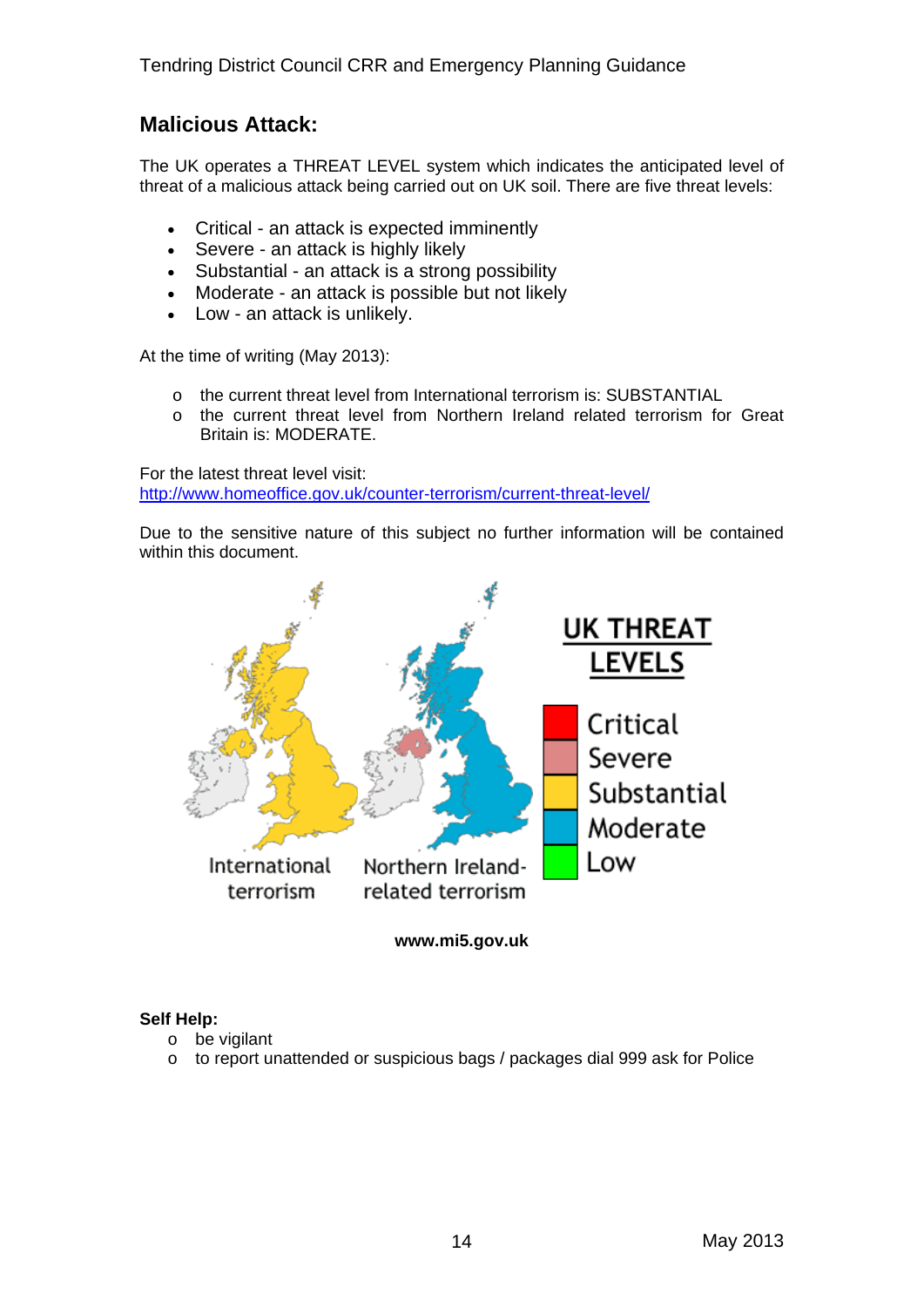## **Malicious Attack:**

The UK operates a THREAT LEVEL system which indicates the anticipated level of threat of a malicious attack being carried out on UK soil. There are five threat levels:

- Critical an attack is expected imminently
- Severe an attack is highly likely
- Substantial an attack is a strong possibility
- Moderate an attack is possible but not likely
- Low an attack is unlikely.

At the time of writing (May 2013):

- o the current threat level from International terrorism is: SUBSTANTIAL
- o the current threat level from Northern Ireland related terrorism for Great Britain is: MODERATE.

For the latest threat level visit: <http://www.homeoffice.gov.uk/counter-terrorism/current-threat-level/>

Due to the sensitive nature of this subject no further information will be contained within this document.



**www.mi5.gov.uk** 

- o be vigilant
- o to report unattended or suspicious bags / packages dial 999 ask for Police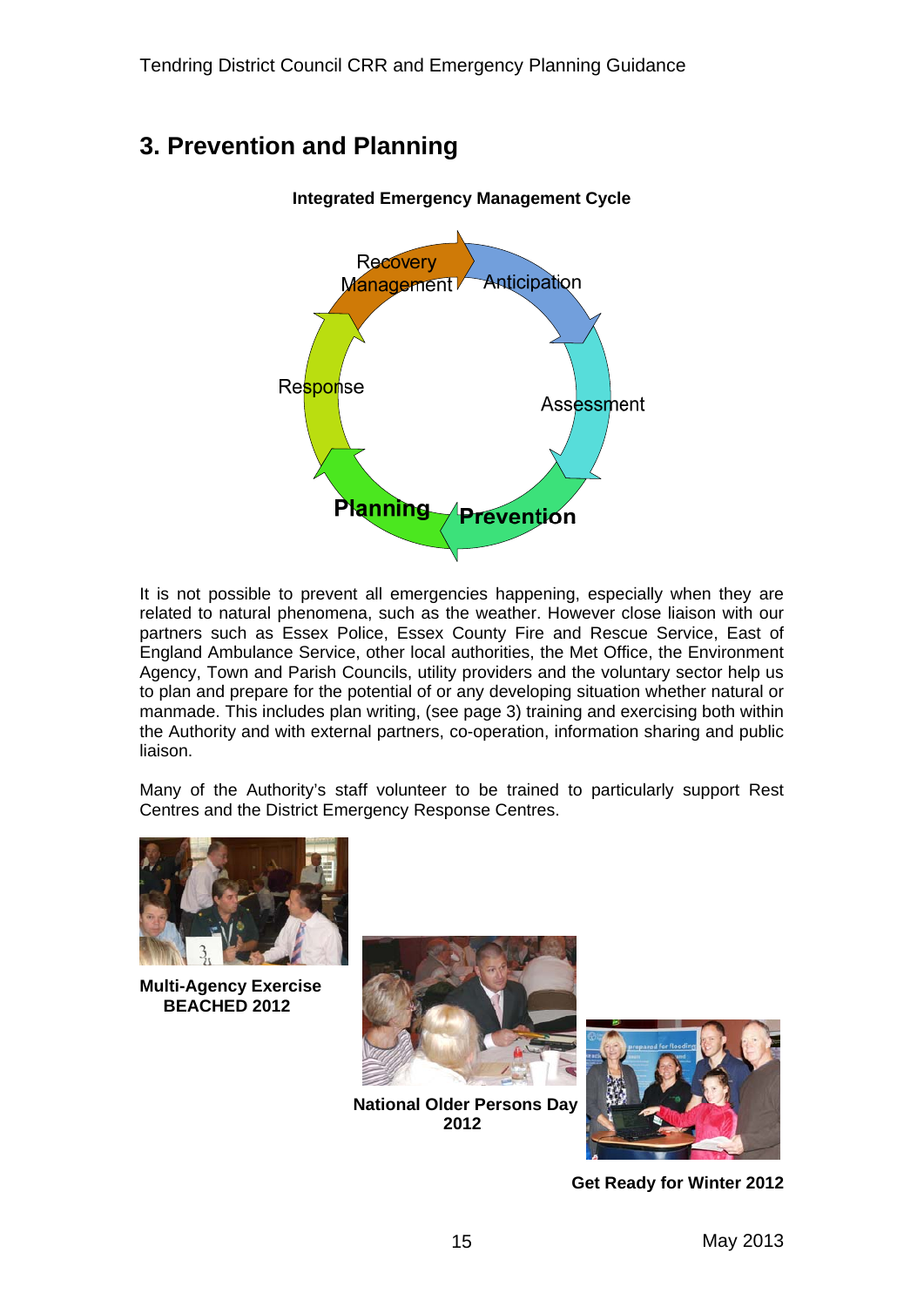## **3. Prevention and Planning**



It is not possible to prevent all emergencies happening, especially when they are related to natural phenomena, such as the weather. However close liaison with our partners such as Essex Police, Essex County Fire and Rescue Service, East of England Ambulance Service, other local authorities, the Met Office, the Environment Agency, Town and Parish Councils, utility providers and the voluntary sector help us to plan and prepare for the potential of or any developing situation whether natural or manmade. This includes plan writing, (see page 3) training and exercising both within the Authority and with external partners, co-operation, information sharing and public liaison.

Many of the Authority's staff volunteer to be trained to particularly support Rest Centres and the District Emergency Response Centres.



**Multi-Agency Exercise BEACHED 2012** 



 **National Older Persons Day 2012** 



 **Get Ready for Winter 2012**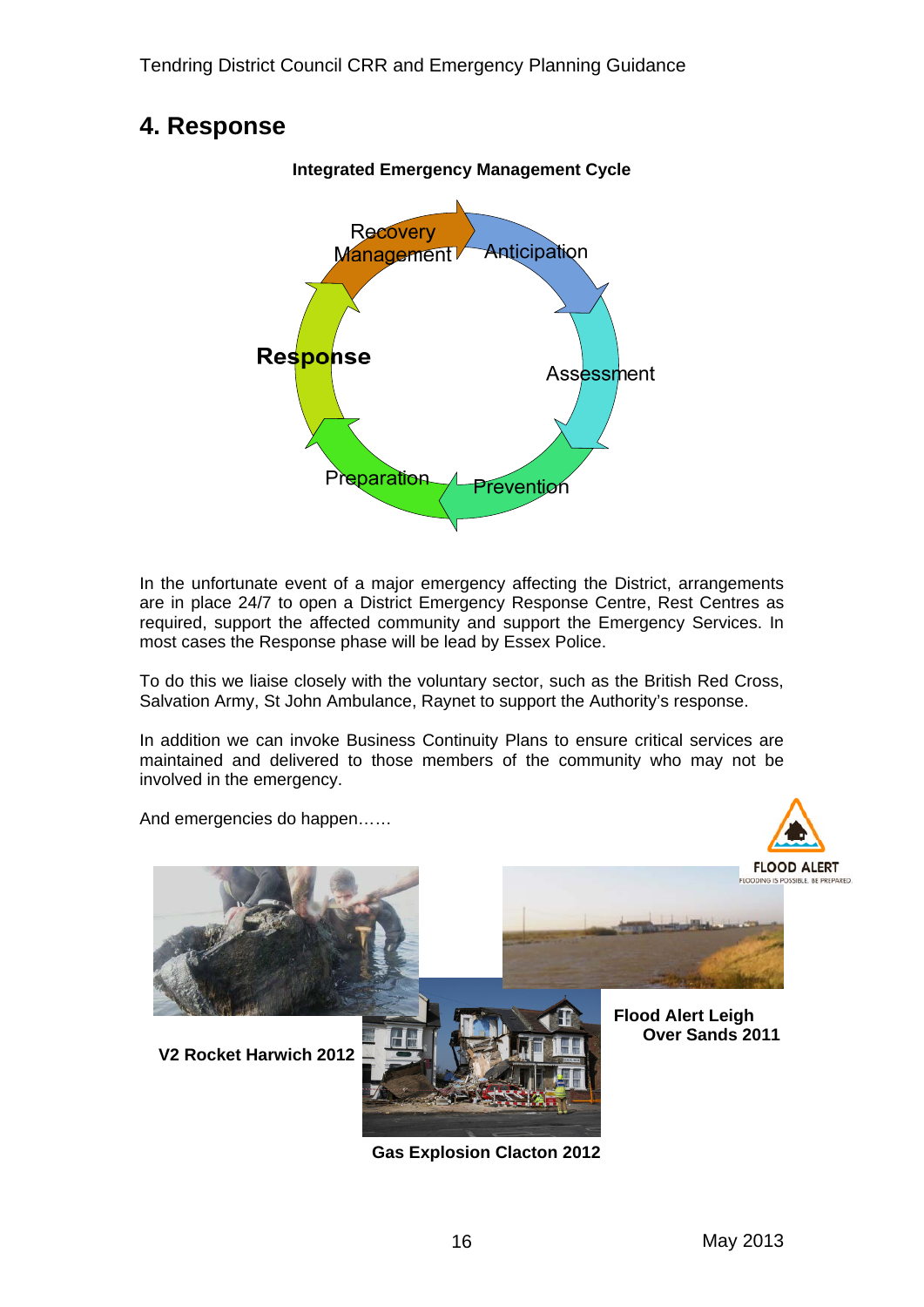## **4. Response**



In the unfortunate event of a major emergency affecting the District, arrangements are in place 24/7 to open a District Emergency Response Centre, Rest Centres as required, support the affected community and support the Emergency Services. In most cases the Response phase will be lead by Essex Police.

To do this we liaise closely with the voluntary sector, such as the British Red Cross, Salvation Army, St John Ambulance, Raynet to support the Authority's response.

In addition we can invoke Business Continuity Plans to ensure critical services are maintained and delivered to those members of the community who may not be involved in the emergency.

And emergencies do happen……



**Gas Explosion Clacton 2012**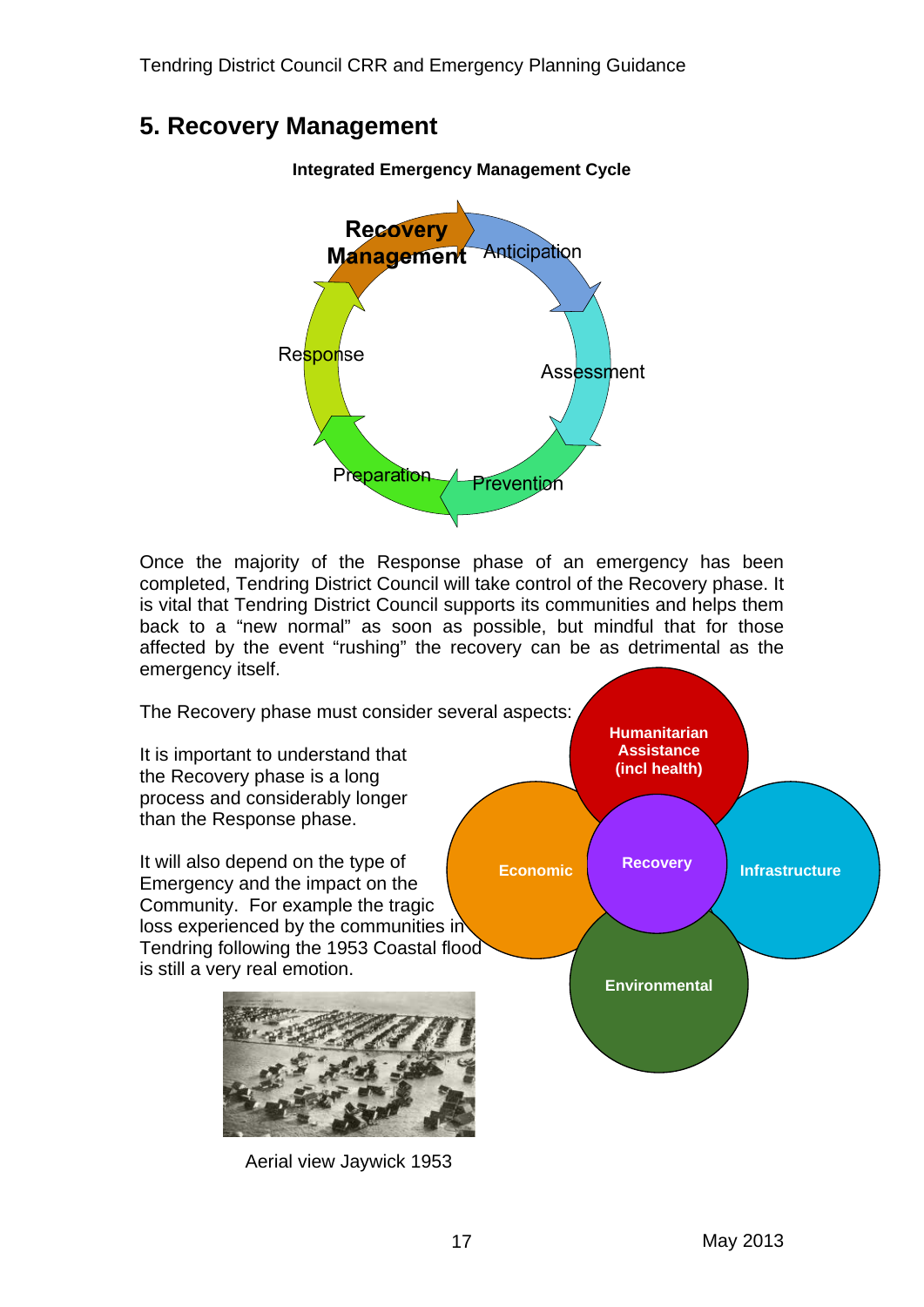## **5. Recovery Management**



Once the majority of the Response phase of an emergency has been completed, Tendring District Council will take control of the Recovery phase. It is vital that Tendring District Council supports its communities and helps them back to a "new normal" as soon as possible, but mindful that for those affected by the event "rushing" the recovery can be as detrimental as the emergency itself.

The Recovery phase must consider several aspects:

It is important to understand that the Recovery phase is a long process and considerably longer than the Response phase.

It will also depend on the type of Emergency and the impact on the Community. For example the tragic loss experienced by the communities in Tendring following the 1953 Coastal flood is still a very real emotion.



Aerial view Jaywick 1953

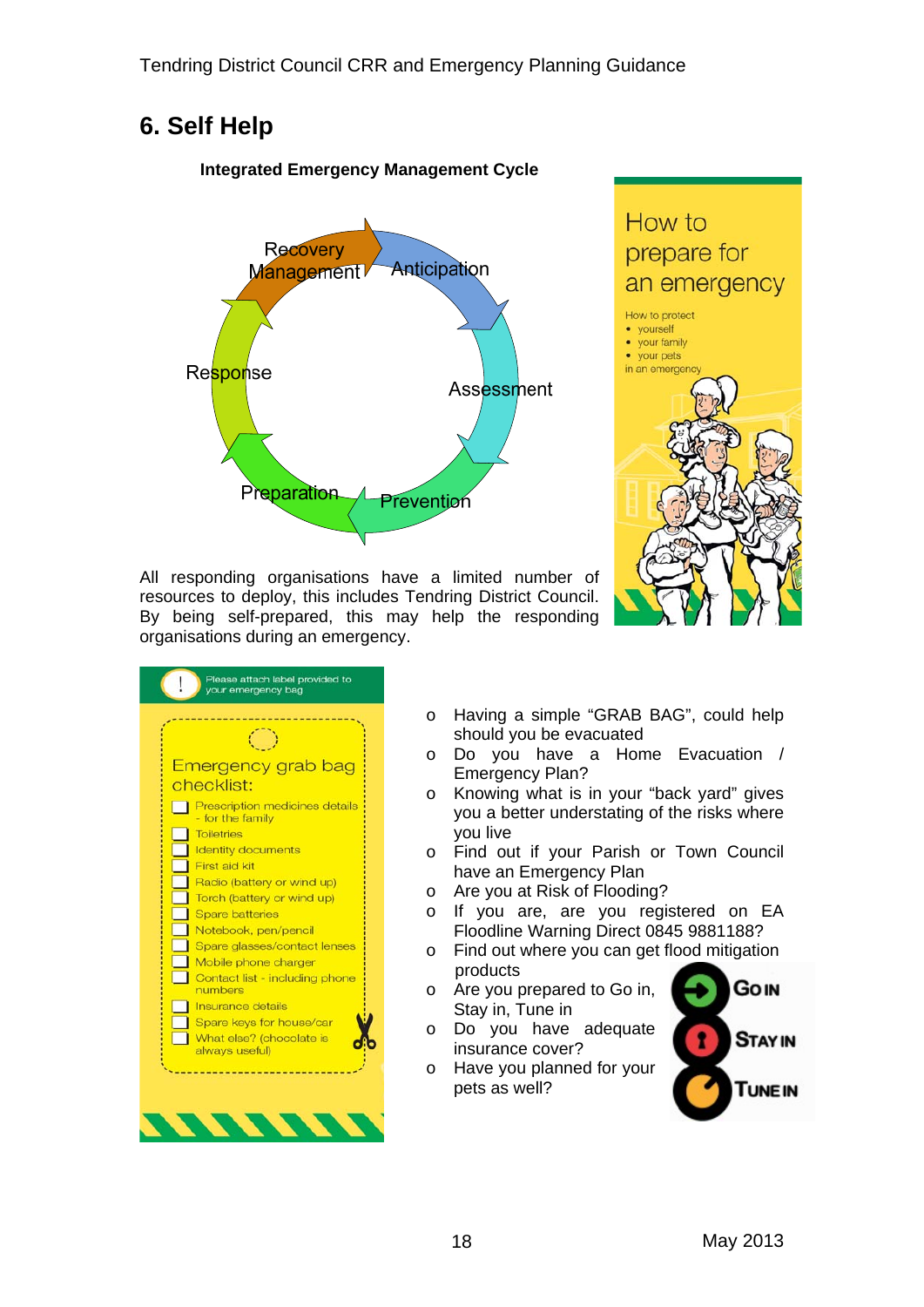## **6. Self Help**

#### **Integrated Emergency Management Cycle**





All responding organisations have a limited number of resources to deploy, this includes Tendring District Council. By being self-prepared, this may help the responding organisations during an emergency.

| <b>Emergency grab bag</b><br>checklist:                   |
|-----------------------------------------------------------|
| <b>Prescription medicines details</b><br>- for the family |
| <b>Toiletries</b>                                         |
| <b>Identity documents</b>                                 |
| First aid kit                                             |
| Radio (battery or wind up)                                |
| Torch (battery or wind up)                                |
| <b>Spare batteries</b>                                    |
| Notebook, pen/pencil                                      |
| Spare glasses/contact lenses                              |
| Mobile phone charger                                      |
| Contact list - including phone<br>numbers                 |
| Insurance details                                         |
| Spare keys for house/car                                  |
| What else? (chocolate is<br>always useful)                |

- o Having a simple "GRAB BAG", could help should you be evacuated
- o Do you have a Home Evacuation / Emergency Plan?
- o Knowing what is in your "back yard" gives you a better understating of the risks where you live
- o Find out if your Parish or Town Council have an Emergency Plan
- o Are you at Risk of Flooding?
- o If you are, are you registered on EA Floodline Warning Direct 0845 9881188?
- o Find out where you can get flood mitigation products
- o Are you prepared to Go in, Stay in, Tune in
- o Do you have adequate insurance cover?
- o Have you planned for your pets as well?

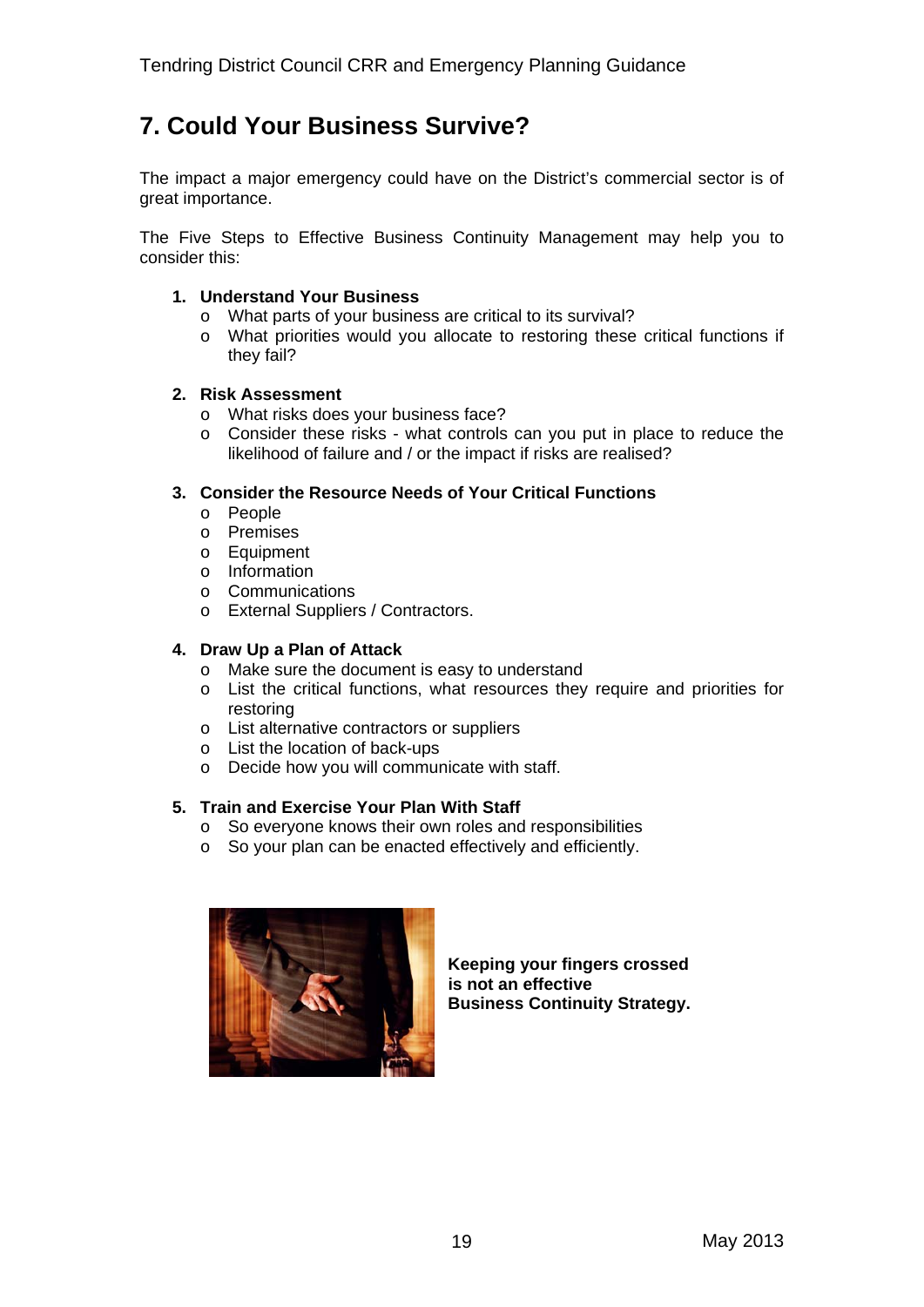## **7. Could Your Business Survive?**

The impact a major emergency could have on the District's commercial sector is of great importance.

The Five Steps to Effective Business Continuity Management may help you to consider this:

#### **1. Understand Your Business**

- o What parts of your business are critical to its survival?
- o What priorities would you allocate to restoring these critical functions if they fail?

#### **2. Risk Assessment**

- o What risks does your business face?
- o Consider these risks what controls can you put in place to reduce the likelihood of failure and / or the impact if risks are realised?

#### **3. Consider the Resource Needs of Your Critical Functions**

- o People
- o Premises
- o Equipment
- o Information
- o Communications
- o External Suppliers / Contractors.

#### **4. Draw Up a Plan of Attack**

- o Make sure the document is easy to understand
- $\circ$  List the critical functions, what resources they require and priorities for restoring
- o List alternative contractors or suppliers
- o List the location of back-ups
- o Decide how you will communicate with staff.

#### **5. Train and Exercise Your Plan With Staff**

- o So everyone knows their own roles and responsibilities
- o So your plan can be enacted effectively and efficiently.



**Keeping your fingers crossed is not an effective Business Continuity Strategy.**